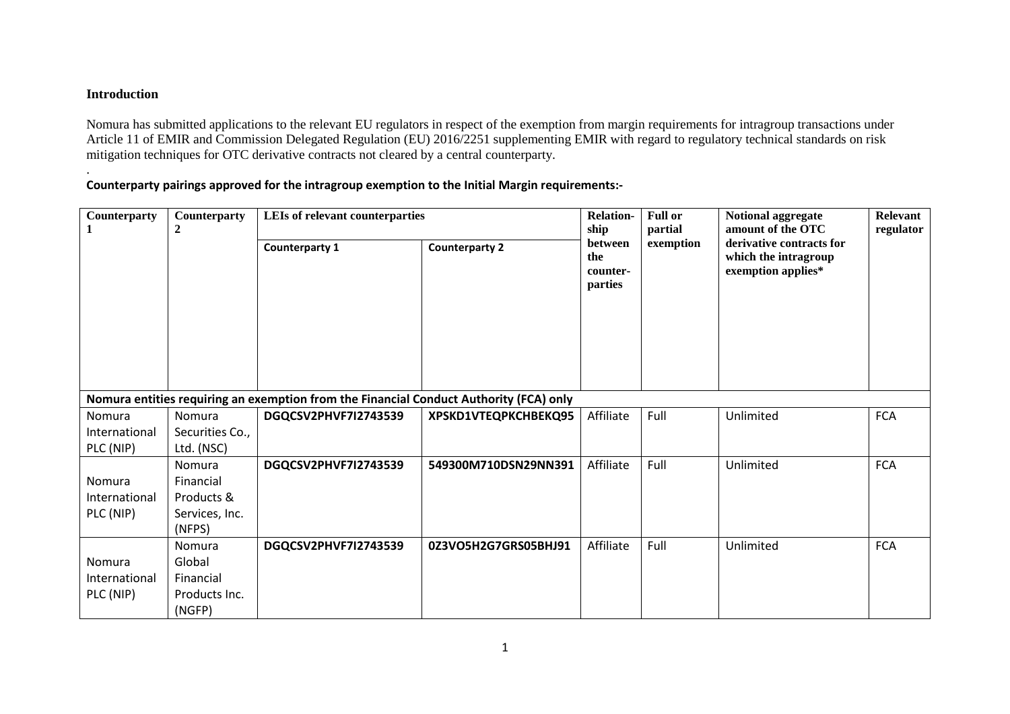## **Introduction**

.

Nomura has submitted applications to the relevant EU regulators in respect of the exemption from margin requirements for intragroup transactions under Article 11 of EMIR and Commission Delegated Regulation (EU) 2016/2251 supplementing EMIR with regard to regulatory technical standards on risk mitigation techniques for OTC derivative contracts not cleared by a central counterparty.

## **Counterparty pairings approved for the intragroup exemption to the Initial Margin requirements:-**

| Counterparty  | Counterparty<br>$\boldsymbol{2}$ | LEIs of relevant counterparties                                                        |                       | <b>Relation-</b><br>ship              | <b>Full or</b><br>partial | Notional aggregate<br>amount of the OTC                                | Relevant<br>regulator |
|---------------|----------------------------------|----------------------------------------------------------------------------------------|-----------------------|---------------------------------------|---------------------------|------------------------------------------------------------------------|-----------------------|
|               |                                  | Counterparty 1                                                                         | <b>Counterparty 2</b> | between<br>the<br>counter-<br>parties | exemption                 | derivative contracts for<br>which the intragroup<br>exemption applies* |                       |
|               |                                  | Nomura entities requiring an exemption from the Financial Conduct Authority (FCA) only |                       |                                       |                           |                                                                        |                       |
| Nomura        | Nomura                           | DGQCSV2PHVF7I2743539                                                                   | XPSKD1VTEQPKCHBEKQ95  | Affiliate                             | Full                      | Unlimited                                                              | <b>FCA</b>            |
| International | Securities Co.,                  |                                                                                        |                       |                                       |                           |                                                                        |                       |
| PLC (NIP)     | Ltd. (NSC)                       |                                                                                        |                       |                                       |                           |                                                                        |                       |
|               | Nomura                           | DGQCSV2PHVF7I2743539                                                                   | 549300M710DSN29NN391  | Affiliate                             | Full                      | Unlimited                                                              | <b>FCA</b>            |
| Nomura        | Financial                        |                                                                                        |                       |                                       |                           |                                                                        |                       |
| International | Products &                       |                                                                                        |                       |                                       |                           |                                                                        |                       |
| PLC (NIP)     | Services, Inc.                   |                                                                                        |                       |                                       |                           |                                                                        |                       |
|               | (NFPS)                           |                                                                                        |                       |                                       |                           |                                                                        |                       |
|               | Nomura                           | DGQCSV2PHVF7I2743539                                                                   | 0Z3VO5H2G7GRS05BHJ91  | Affiliate                             | Full                      | Unlimited                                                              | <b>FCA</b>            |
| Nomura        | Global                           |                                                                                        |                       |                                       |                           |                                                                        |                       |
| International | Financial                        |                                                                                        |                       |                                       |                           |                                                                        |                       |
| PLC (NIP)     | Products Inc.<br>(NGFP)          |                                                                                        |                       |                                       |                           |                                                                        |                       |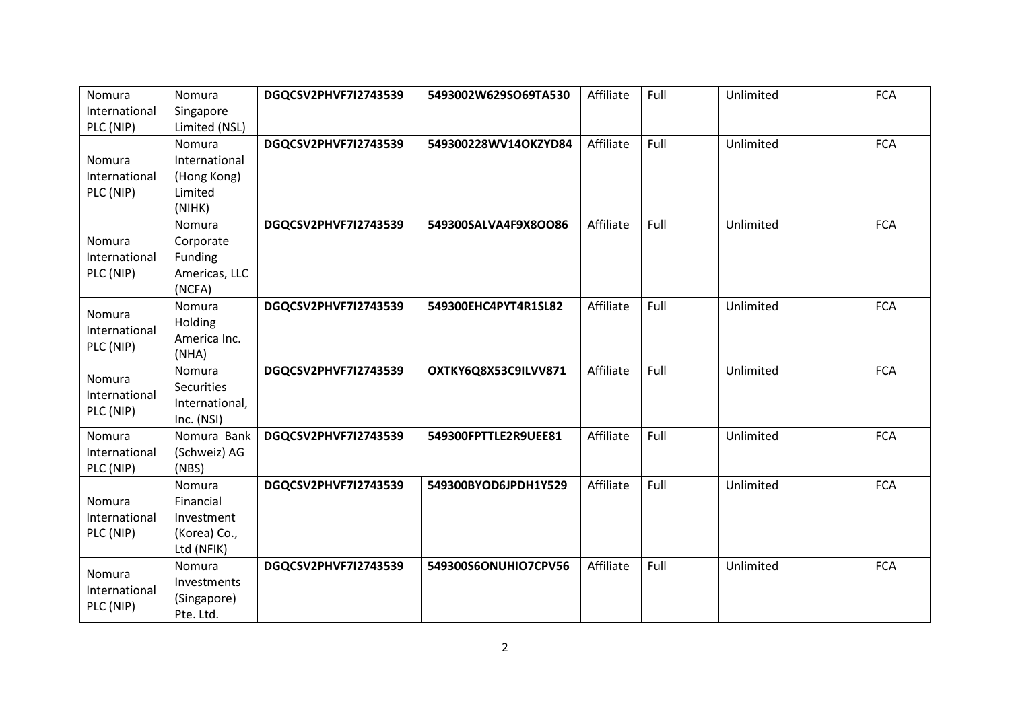| Nomura        | Nomura         | DGQCSV2PHVF7I2743539 | 5493002W629SO69TA530 | Affiliate | Full | Unlimited | <b>FCA</b> |
|---------------|----------------|----------------------|----------------------|-----------|------|-----------|------------|
| International | Singapore      |                      |                      |           |      |           |            |
| PLC (NIP)     | Limited (NSL)  |                      |                      |           |      |           |            |
|               | Nomura         | DGQCSV2PHVF7I2743539 | 549300228WV14OKZYD84 | Affiliate | Full | Unlimited | <b>FCA</b> |
| Nomura        | International  |                      |                      |           |      |           |            |
| International | (Hong Kong)    |                      |                      |           |      |           |            |
| PLC (NIP)     | Limited        |                      |                      |           |      |           |            |
|               | (NIHK)         |                      |                      |           |      |           |            |
|               | Nomura         | DGQCSV2PHVF7I2743539 | 549300SALVA4F9X8OO86 | Affiliate | Full | Unlimited | <b>FCA</b> |
| Nomura        | Corporate      |                      |                      |           |      |           |            |
| International | Funding        |                      |                      |           |      |           |            |
| PLC (NIP)     | Americas, LLC  |                      |                      |           |      |           |            |
|               | (NCFA)         |                      |                      |           |      |           |            |
| Nomura        | Nomura         | DGQCSV2PHVF7I2743539 | 549300EHC4PYT4R1SL82 | Affiliate | Full | Unlimited | <b>FCA</b> |
| International | Holding        |                      |                      |           |      |           |            |
| PLC (NIP)     | America Inc.   |                      |                      |           |      |           |            |
|               | (NHA)          |                      |                      |           |      |           |            |
| Nomura        | Nomura         | DGQCSV2PHVF7I2743539 | OXTKY6Q8X53C9ILVV871 | Affiliate | Full | Unlimited | <b>FCA</b> |
| International | Securities     |                      |                      |           |      |           |            |
| PLC (NIP)     | International, |                      |                      |           |      |           |            |
|               | Inc. (NSI)     |                      |                      |           |      |           |            |
| Nomura        | Nomura Bank    | DGQCSV2PHVF7I2743539 | 549300FPTTLE2R9UEE81 | Affiliate | Full | Unlimited | <b>FCA</b> |
| International | (Schweiz) AG   |                      |                      |           |      |           |            |
| PLC (NIP)     | (NBS)          |                      |                      |           |      |           |            |
|               | Nomura         | DGQCSV2PHVF7I2743539 | 549300BYOD6JPDH1Y529 | Affiliate | Full | Unlimited | <b>FCA</b> |
| Nomura        | Financial      |                      |                      |           |      |           |            |
| International | Investment     |                      |                      |           |      |           |            |
| PLC (NIP)     | (Korea) Co.,   |                      |                      |           |      |           |            |
|               | Ltd (NFIK)     |                      |                      |           |      |           |            |
| Nomura        | Nomura         | DGQCSV2PHVF7I2743539 | 549300S6ONUHIO7CPV56 | Affiliate | Full | Unlimited | <b>FCA</b> |
| International | Investments    |                      |                      |           |      |           |            |
| PLC (NIP)     | (Singapore)    |                      |                      |           |      |           |            |
|               | Pte. Ltd.      |                      |                      |           |      |           |            |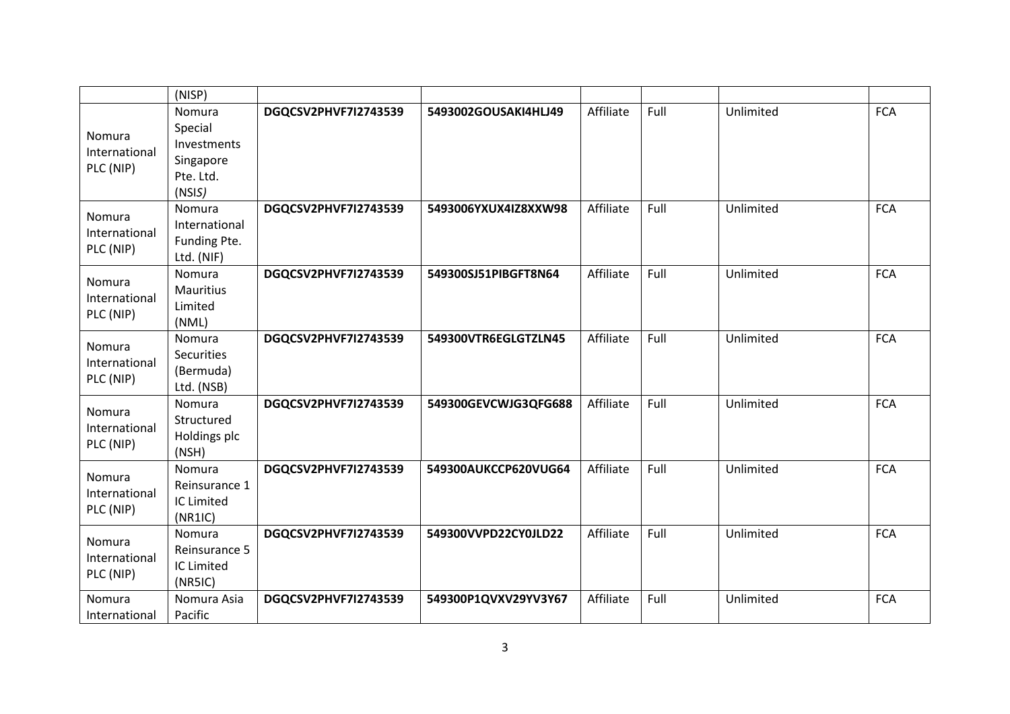|               | (NISP)            |                      |                      |           |      |           |            |
|---------------|-------------------|----------------------|----------------------|-----------|------|-----------|------------|
|               | Nomura            | DGQCSV2PHVF7I2743539 | 5493002GOUSAKI4HLJ49 | Affiliate | Full | Unlimited | <b>FCA</b> |
| Nomura        | Special           |                      |                      |           |      |           |            |
| International | Investments       |                      |                      |           |      |           |            |
| PLC (NIP)     | Singapore         |                      |                      |           |      |           |            |
|               | Pte. Ltd.         |                      |                      |           |      |           |            |
|               | (NSIS)            |                      |                      |           |      |           |            |
| Nomura        | Nomura            | DGQCSV2PHVF7I2743539 | 5493006YXUX4IZ8XXW98 | Affiliate | Full | Unlimited | <b>FCA</b> |
| International | International     |                      |                      |           |      |           |            |
| PLC (NIP)     | Funding Pte.      |                      |                      |           |      |           |            |
|               | Ltd. (NIF)        |                      |                      |           |      |           |            |
| Nomura        | Nomura            | DGQCSV2PHVF7I2743539 | 549300SJ51PIBGFT8N64 | Affiliate | Full | Unlimited | <b>FCA</b> |
| International | Mauritius         |                      |                      |           |      |           |            |
| PLC (NIP)     | Limited           |                      |                      |           |      |           |            |
|               | (NML)<br>Nomura   | DGQCSV2PHVF7I2743539 | 549300VTR6EGLGTZLN45 | Affiliate | Full | Unlimited | <b>FCA</b> |
| Nomura        | <b>Securities</b> |                      |                      |           |      |           |            |
| International | (Bermuda)         |                      |                      |           |      |           |            |
| PLC (NIP)     | Ltd. (NSB)        |                      |                      |           |      |           |            |
|               | Nomura            | DGQCSV2PHVF7I2743539 | 549300GEVCWJG3QFG688 | Affiliate | Full | Unlimited | <b>FCA</b> |
| Nomura        | Structured        |                      |                      |           |      |           |            |
| International | Holdings plc      |                      |                      |           |      |           |            |
| PLC (NIP)     | (NSH)             |                      |                      |           |      |           |            |
|               | Nomura            | DGQCSV2PHVF7I2743539 | 549300AUKCCP620VUG64 | Affiliate | Full | Unlimited | <b>FCA</b> |
| Nomura        | Reinsurance 1     |                      |                      |           |      |           |            |
| International | IC Limited        |                      |                      |           |      |           |            |
| PLC (NIP)     | (NR1IC)           |                      |                      |           |      |           |            |
| Nomura        | Nomura            | DGQCSV2PHVF7I2743539 | 549300VVPD22CY0JLD22 | Affiliate | Full | Unlimited | <b>FCA</b> |
| International | Reinsurance 5     |                      |                      |           |      |           |            |
| PLC (NIP)     | IC Limited        |                      |                      |           |      |           |            |
|               | (NRSIC)           |                      |                      |           |      |           |            |
| Nomura        | Nomura Asia       | DGQCSV2PHVF7I2743539 | 549300P1QVXV29YV3Y67 | Affiliate | Full | Unlimited | <b>FCA</b> |
| International | Pacific           |                      |                      |           |      |           |            |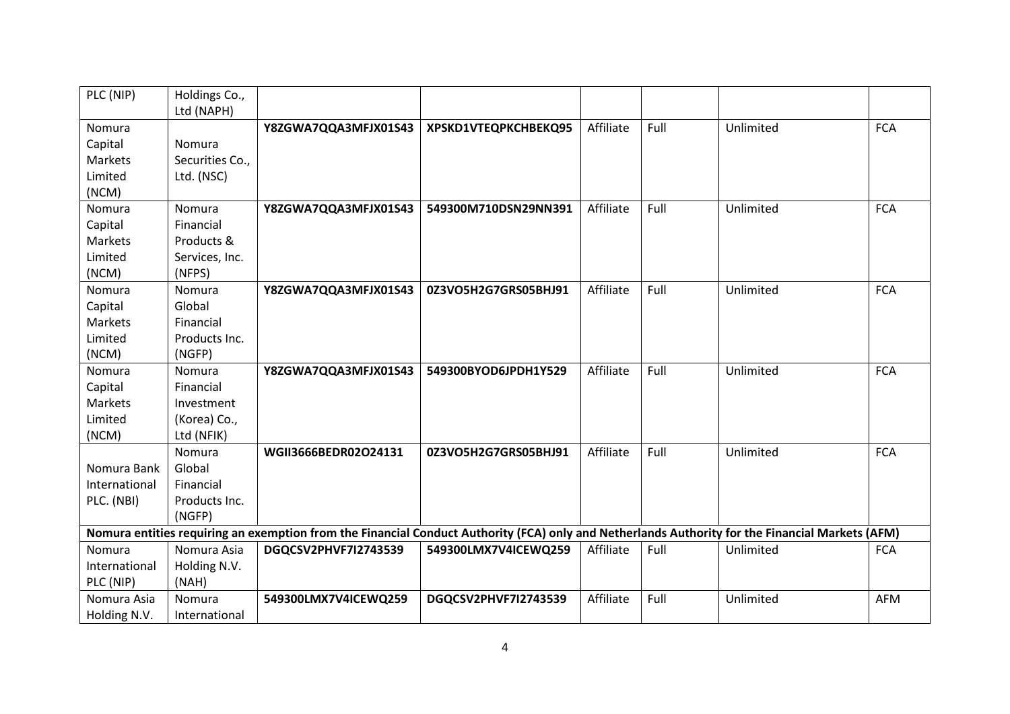| PLC (NIP)     | Holdings Co.,   |                                                                                                                                                  |                      |           |      |           |            |
|---------------|-----------------|--------------------------------------------------------------------------------------------------------------------------------------------------|----------------------|-----------|------|-----------|------------|
|               | Ltd (NAPH)      |                                                                                                                                                  |                      |           |      |           |            |
| Nomura        |                 | Y8ZGWA7QQA3MFJX01S43                                                                                                                             | XPSKD1VTEQPKCHBEKQ95 | Affiliate | Full | Unlimited | <b>FCA</b> |
| Capital       | Nomura          |                                                                                                                                                  |                      |           |      |           |            |
| Markets       | Securities Co., |                                                                                                                                                  |                      |           |      |           |            |
| Limited       | Ltd. (NSC)      |                                                                                                                                                  |                      |           |      |           |            |
| (NCM)         |                 |                                                                                                                                                  |                      |           |      |           |            |
| Nomura        | Nomura          | Y8ZGWA7QQA3MFJX01S43                                                                                                                             | 549300M710DSN29NN391 | Affiliate | Full | Unlimited | <b>FCA</b> |
| Capital       | Financial       |                                                                                                                                                  |                      |           |      |           |            |
| Markets       | Products &      |                                                                                                                                                  |                      |           |      |           |            |
| Limited       | Services, Inc.  |                                                                                                                                                  |                      |           |      |           |            |
| (NCM)         | (NFPS)          |                                                                                                                                                  |                      |           |      |           |            |
| Nomura        | Nomura          | Y8ZGWA7QQA3MFJX01S43                                                                                                                             | 0Z3VO5H2G7GRS05BHJ91 | Affiliate | Full | Unlimited | <b>FCA</b> |
| Capital       | Global          |                                                                                                                                                  |                      |           |      |           |            |
| Markets       | Financial       |                                                                                                                                                  |                      |           |      |           |            |
| Limited       | Products Inc.   |                                                                                                                                                  |                      |           |      |           |            |
| (NCM)         | (NGFP)          |                                                                                                                                                  |                      |           |      |           |            |
| Nomura        | Nomura          | Y8ZGWA7QQA3MFJX01S43                                                                                                                             | 549300BYOD6JPDH1Y529 | Affiliate | Full | Unlimited | <b>FCA</b> |
| Capital       | Financial       |                                                                                                                                                  |                      |           |      |           |            |
| Markets       | Investment      |                                                                                                                                                  |                      |           |      |           |            |
| Limited       | (Korea) Co.,    |                                                                                                                                                  |                      |           |      |           |            |
| (NCM)         | Ltd (NFIK)      |                                                                                                                                                  |                      |           |      |           |            |
|               | Nomura          | WGII3666BEDR02O24131                                                                                                                             | 0Z3VO5H2G7GRS05BHJ91 | Affiliate | Full | Unlimited | <b>FCA</b> |
| Nomura Bank   | Global          |                                                                                                                                                  |                      |           |      |           |            |
| International | Financial       |                                                                                                                                                  |                      |           |      |           |            |
| PLC. (NBI)    | Products Inc.   |                                                                                                                                                  |                      |           |      |           |            |
|               | (NGFP)          |                                                                                                                                                  |                      |           |      |           |            |
|               |                 | Nomura entities requiring an exemption from the Financial Conduct Authority (FCA) only and Netherlands Authority for the Financial Markets (AFM) |                      |           |      |           |            |
| Nomura        | Nomura Asia     | DGQCSV2PHVF7I2743539                                                                                                                             | 549300LMX7V4ICEWQ259 | Affiliate | Full | Unlimited | <b>FCA</b> |
| International | Holding N.V.    |                                                                                                                                                  |                      |           |      |           |            |
| PLC (NIP)     | (NAH)           |                                                                                                                                                  |                      |           |      |           |            |
| Nomura Asia   | Nomura          | 549300LMX7V4ICEWQ259                                                                                                                             | DGQCSV2PHVF7I2743539 | Affiliate | Full | Unlimited | <b>AFM</b> |
| Holding N.V.  | International   |                                                                                                                                                  |                      |           |      |           |            |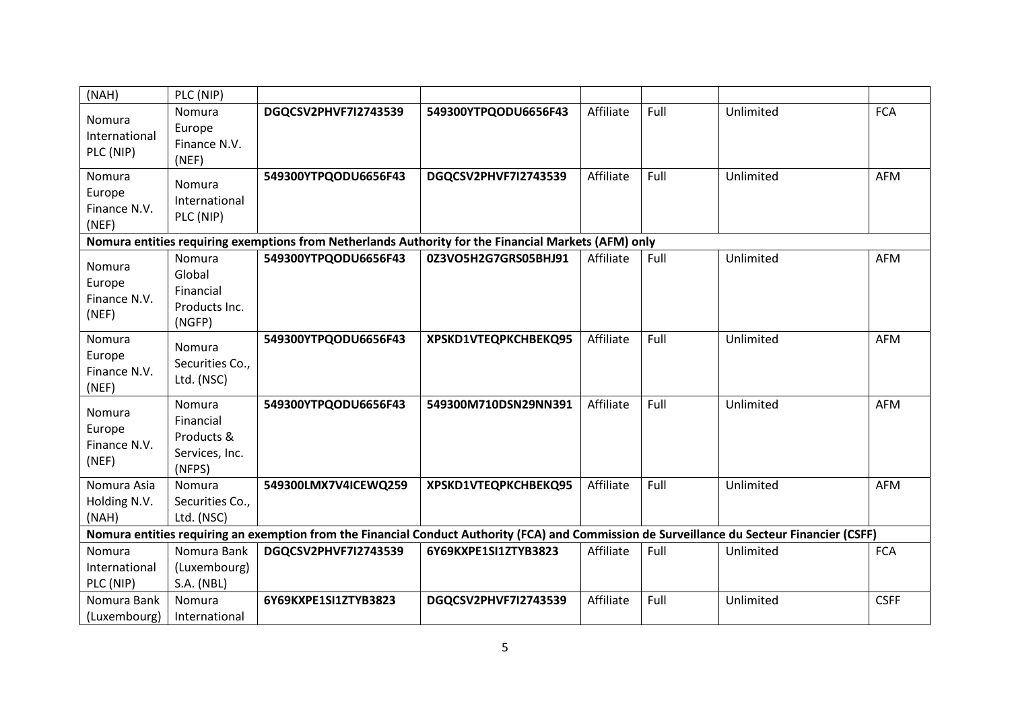| (NAH)                                     | PLC (NIP)                                                     |                                                                                                                                              |                      |           |      |           |             |
|-------------------------------------------|---------------------------------------------------------------|----------------------------------------------------------------------------------------------------------------------------------------------|----------------------|-----------|------|-----------|-------------|
| Nomura<br>International<br>PLC (NIP)      | Nomura<br>Europe<br>Finance N.V.<br>(NEF)                     | DGQCSV2PHVF7I2743539                                                                                                                         | 549300YTPQODU6656F43 | Affiliate | Full | Unlimited | <b>FCA</b>  |
| Nomura<br>Europe<br>Finance N.V.<br>(NEF) | Nomura<br>International<br>PLC (NIP)                          | 549300YTPQODU6656F43                                                                                                                         | DGQCSV2PHVF7I2743539 | Affiliate | Full | Unlimited | <b>AFM</b>  |
|                                           |                                                               | Nomura entities requiring exemptions from Netherlands Authority for the Financial Markets (AFM) only                                         |                      |           |      |           |             |
| Nomura<br>Europe<br>Finance N.V.<br>(NEF) | Nomura<br>Global<br>Financial<br>Products Inc.<br>(NGFP)      | 549300YTPQODU6656F43                                                                                                                         | 0Z3VO5H2G7GRS05BHJ91 | Affiliate | Full | Unlimited | <b>AFM</b>  |
| Nomura<br>Europe<br>Finance N.V.<br>(NEF) | Nomura<br>Securities Co.,<br>Ltd. (NSC)                       | 549300YTPQODU6656F43                                                                                                                         | XPSKD1VTEQPKCHBEKQ95 | Affiliate | Full | Unlimited | <b>AFM</b>  |
| Nomura<br>Europe<br>Finance N.V.<br>(NEF) | Nomura<br>Financial<br>Products &<br>Services, Inc.<br>(NFPS) | 549300YTPQODU6656F43                                                                                                                         | 549300M710DSN29NN391 | Affiliate | Full | Unlimited | <b>AFM</b>  |
| Nomura Asia<br>Holding N.V.<br>(NAH)      | Nomura<br>Securities Co.,<br>Ltd. (NSC)                       | 549300LMX7V4ICEWQ259                                                                                                                         | XPSKD1VTEQPKCHBEKQ95 | Affiliate | Full | Unlimited | <b>AFM</b>  |
|                                           |                                                               | Nomura entities requiring an exemption from the Financial Conduct Authority (FCA) and Commission de Surveillance du Secteur Financier (CSFF) |                      |           |      |           |             |
| Nomura<br>International<br>PLC (NIP)      | Nomura Bank<br>(Luxembourg)<br><b>S.A. (NBL)</b>              | DGQCSV2PHVF7I2743539                                                                                                                         | 6Y69KXPE1SI1ZTYB3823 | Affiliate | Full | Unlimited | <b>FCA</b>  |
| Nomura Bank<br>(Luxembourg)               | Nomura<br>International                                       | 6Y69KXPE1SI1ZTYB3823                                                                                                                         | DGQCSV2PHVF7I2743539 | Affiliate | Full | Unlimited | <b>CSFF</b> |